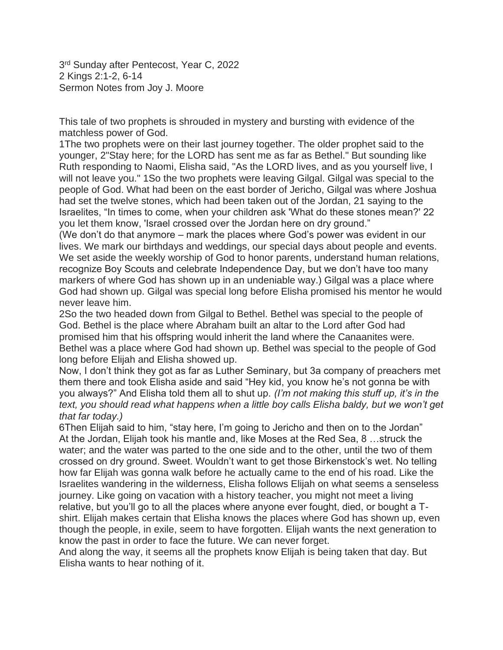3<sup>rd</sup> Sunday after Pentecost, Year C, 2022 2 Kings 2:1-2, 6-14 Sermon Notes from Joy J. Moore

This tale of two prophets is shrouded in mystery and bursting with evidence of the matchless power of God.

1The two prophets were on their last journey together. The older prophet said to the younger, 2"Stay here; for the LORD has sent me as far as Bethel." But sounding like Ruth responding to Naomi, Elisha said, "As the LORD lives, and as you yourself live, I will not leave you." 1So the two prophets were leaving Gilgal. Gilgal was special to the people of God. What had been on the east border of Jericho, Gilgal was where Joshua had set the twelve stones, which had been taken out of the Jordan, 21 saying to the Israelites, "In times to come, when your children ask 'What do these stones mean?' 22 you let them know, 'Israel crossed over the Jordan here on dry ground."

(We don't do that anymore – mark the places where God's power was evident in our lives. We mark our birthdays and weddings, our special days about people and events. We set aside the weekly worship of God to honor parents, understand human relations, recognize Boy Scouts and celebrate Independence Day, but we don't have too many markers of where God has shown up in an undeniable way.) Gilgal was a place where God had shown up. Gilgal was special long before Elisha promised his mentor he would never leave him.

2So the two headed down from Gilgal to Bethel. Bethel was special to the people of God. Bethel is the place where Abraham built an altar to the Lord after God had promised him that his offspring would inherit the land where the Canaanites were. Bethel was a place where God had shown up. Bethel was special to the people of God long before Elijah and Elisha showed up.

Now, I don't think they got as far as Luther Seminary, but 3a company of preachers met them there and took Elisha aside and said "Hey kid, you know he's not gonna be with you always?" And Elisha told them all to shut up. *(I'm not making this stuff up, it's in the text, you should read what happens when a little boy calls Elisha baldy, but we won't get that far today.)*

6Then Elijah said to him, "stay here, I'm going to Jericho and then on to the Jordan" At the Jordan, Elijah took his mantle and, like Moses at the Red Sea, 8 …struck the water; and the water was parted to the one side and to the other, until the two of them crossed on dry ground. Sweet. Wouldn't want to get those Birkenstock's wet. No telling how far Elijah was gonna walk before he actually came to the end of his road. Like the Israelites wandering in the wilderness, Elisha follows Elijah on what seems a senseless journey. Like going on vacation with a history teacher, you might not meet a living relative, but you'll go to all the places where anyone ever fought, died, or bought a Tshirt. Elijah makes certain that Elisha knows the places where God has shown up, even though the people, in exile, seem to have forgotten. Elijah wants the next generation to know the past in order to face the future. We can never forget.

And along the way, it seems all the prophets know Elijah is being taken that day. But Elisha wants to hear nothing of it.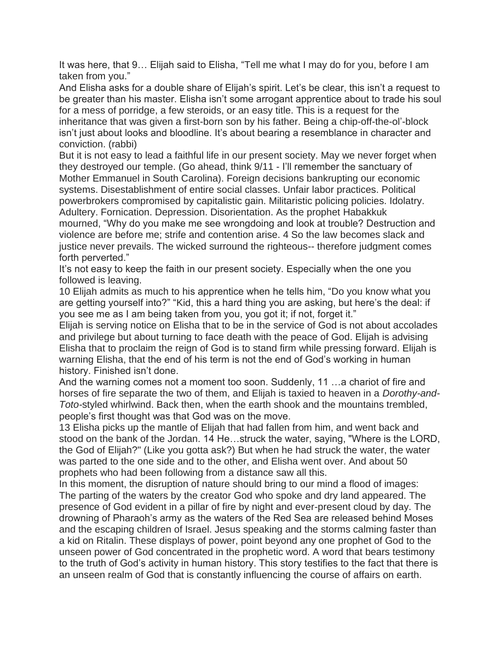It was here, that 9… Elijah said to Elisha, "Tell me what I may do for you, before I am taken from you."

And Elisha asks for a double share of Elijah's spirit. Let's be clear, this isn't a request to be greater than his master. Elisha isn't some arrogant apprentice about to trade his soul for a mess of porridge, a few steroids, or an easy title. This is a request for the inheritance that was given a first-born son by his father. Being a chip-off-the-ol'-block isn't just about looks and bloodline. It's about bearing a resemblance in character and conviction. (rabbi)

But it is not easy to lead a faithful life in our present society. May we never forget when they destroyed our temple. (Go ahead, think 9/11 - I'll remember the sanctuary of Mother Emmanuel in South Carolina). Foreign decisions bankrupting our economic systems. Disestablishment of entire social classes. Unfair labor practices. Political powerbrokers compromised by capitalistic gain. Militaristic policing policies. Idolatry. Adultery. Fornication. Depression. Disorientation. As the prophet Habakkuk

mourned, "Why do you make me see wrongdoing and look at trouble? Destruction and violence are before me; strife and contention arise. 4 So the law becomes slack and justice never prevails. The wicked surround the righteous-- therefore judgment comes forth perverted."

It's not easy to keep the faith in our present society. Especially when the one you followed is leaving.

10 Elijah admits as much to his apprentice when he tells him, "Do you know what you are getting yourself into?" "Kid, this a hard thing you are asking, but here's the deal: if you see me as I am being taken from you, you got it; if not, forget it."

Elijah is serving notice on Elisha that to be in the service of God is not about accolades and privilege but about turning to face death with the peace of God. Elijah is advising Elisha that to proclaim the reign of God is to stand firm while pressing forward. Elijah is warning Elisha, that the end of his term is not the end of God's working in human history. Finished isn't done.

And the warning comes not a moment too soon. Suddenly, 11 …a chariot of fire and horses of fire separate the two of them, and Elijah is taxied to heaven in a *Dorothy-and-Toto-*styled whirlwind. Back then, when the earth shook and the mountains trembled, people's first thought was that God was on the move.

13 Elisha picks up the mantle of Elijah that had fallen from him, and went back and stood on the bank of the Jordan. 14 He…struck the water, saying, "Where is the LORD, the God of Elijah?" (Like you gotta ask?) But when he had struck the water, the water was parted to the one side and to the other, and Elisha went over. And about 50 prophets who had been following from a distance saw all this.

In this moment, the disruption of nature should bring to our mind a flood of images: The parting of the waters by the creator God who spoke and dry land appeared. The presence of God evident in a pillar of fire by night and ever-present cloud by day. The drowning of Pharaoh's army as the waters of the Red Sea are released behind Moses and the escaping children of Israel. Jesus speaking and the storms calming faster than a kid on Ritalin. These displays of power, point beyond any one prophet of God to the unseen power of God concentrated in the prophetic word. A word that bears testimony to the truth of God's activity in human history. This story testifies to the fact that there is an unseen realm of God that is constantly influencing the course of affairs on earth.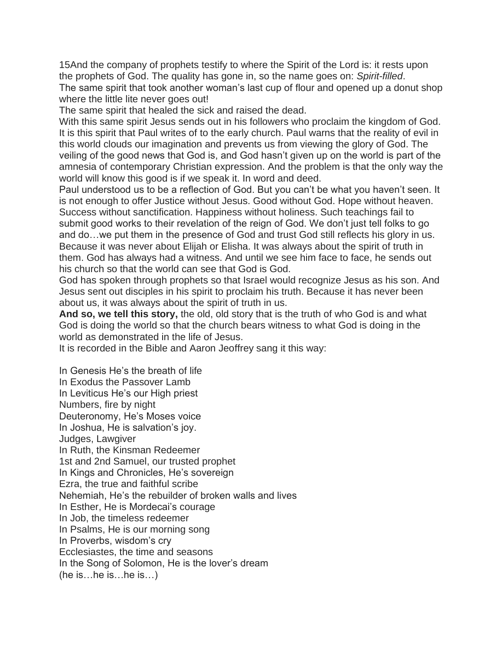15And the company of prophets testify to where the Spirit of the Lord is: it rests upon the prophets of God. The quality has gone in, so the name goes on: *Spirit-filled*. The same spirit that took another woman's last cup of flour and opened up a donut shop where the little lite never goes out!

The same spirit that healed the sick and raised the dead.

With this same spirit Jesus sends out in his followers who proclaim the kingdom of God. It is this spirit that Paul writes of to the early church. Paul warns that the reality of evil in this world clouds our imagination and prevents us from viewing the glory of God. The veiling of the good news that God is, and God hasn't given up on the world is part of the amnesia of contemporary Christian expression. And the problem is that the only way the world will know this good is if we speak it. In word and deed.

Paul understood us to be a reflection of God. But you can't be what you haven't seen. It is not enough to offer Justice without Jesus. Good without God. Hope without heaven. Success without sanctification. Happiness without holiness. Such teachings fail to submit good works to their revelation of the reign of God. We don't just tell folks to go and do…we put them in the presence of God and trust God still reflects his glory in us. Because it was never about Elijah or Elisha. It was always about the spirit of truth in them. God has always had a witness. And until we see him face to face, he sends out his church so that the world can see that God is God.

God has spoken through prophets so that Israel would recognize Jesus as his son. And Jesus sent out disciples in his spirit to proclaim his truth. Because it has never been about us, it was always about the spirit of truth in us.

**And so, we tell this story,** the old, old story that is the truth of who God is and what God is doing the world so that the church bears witness to what God is doing in the world as demonstrated in the life of Jesus.

It is recorded in the Bible and Aaron Jeoffrey sang it this way:

In Genesis He's the breath of life In Exodus the Passover Lamb In Leviticus He's our High priest Numbers, fire by night Deuteronomy, He's Moses voice In Joshua, He is salvation's joy. Judges, Lawgiver In Ruth, the Kinsman Redeemer 1st and 2nd Samuel, our trusted prophet In Kings and Chronicles, He's sovereign Ezra, the true and faithful scribe Nehemiah, He's the rebuilder of broken walls and lives In Esther, He is Mordecai's courage In Job, the timeless redeemer In Psalms, He is our morning song In Proverbs, wisdom's cry Ecclesiastes, the time and seasons In the Song of Solomon, He is the lover's dream (he is…he is…he is…)